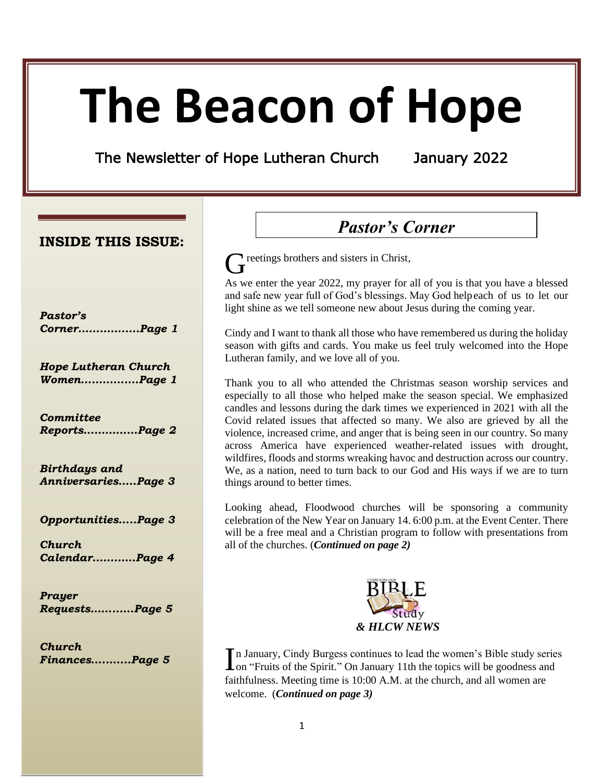# **The Beacon of Hope**

The Newsletter of Hope Lutheran Church January 2022

## **INSIDE THIS ISSUE:**

| Pastor's     |  |
|--------------|--|
| CornerPage 1 |  |

*Hope Lutheran Church Women………….…Page 1*

*Committee Reports……………Page 2*

*Birthdays and Anniversaries…..Page 3*

*Opportunities…..Page 3*

*Church Calendar…………Page 4*

*Prayer Requests……...…Page 5*

*Church Finances…..…...Page 5*

# *Pastor's Corner*

Greetings brothers and sisters in Christ,

As we enter the year 2022, my prayer for all of you is that you have a blessed and safe new year full of God's blessings. May God helpeach of us to let our light shine as we tell someone new about Jesus during the coming year.

Cindy and I want to thank all those who have remembered us during the holiday season with gifts and cards. You make us feel truly welcomed into the Hope Lutheran family, and we love all of you.

Thank you to all who attended the Christmas season worship services and especially to all those who helped make the season special. We emphasized candles and lessons during the dark times we experienced in 2021 with all the Covid related issues that affected so many. We also are grieved by all the violence, increased crime, and anger that is being seen in our country. So many across America have experienced weather-related issues with drought, wildfires, floods and storms wreaking havoc and destruction across our country. We, as a nation, need to turn back to our God and His ways if we are to turn things around to better times.

Looking ahead, Floodwood churches will be sponsoring a community celebration of the New Year on January 14. 6:00 p.m. at the Event Center. There will be a free meal and a Christian program to follow with presentations from all of the churches. (*Continued on page 2)*



n January, Cindy Burgess continues to lead the women's Bible study series In January, Cindy Burgess continues to lead the women's Bible study serie on "Fruits of the Spirit." On January 11th the topics will be goodness and faithfulness. Meeting time is 10:00 A.M. at the church, and all women are welcome. (*Continued on page 3)*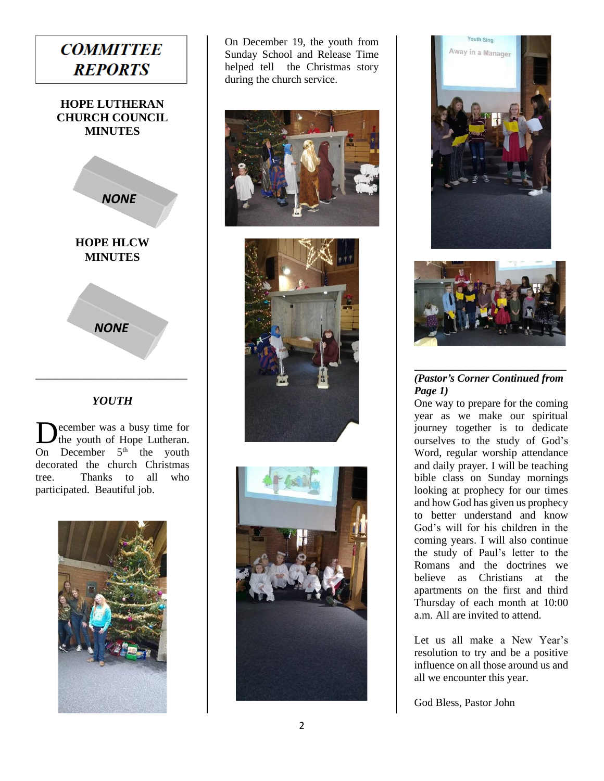

## *YOUTH*

ecember was a busy time for the youth of Hope Lutheran. On December  $5<sup>th</sup>$  the youth decorated the church Christmas tree. Thanks to all who participated. Beautiful job. D



On December 19, the youth from Sunday School and Release Time helped tell the Christmas story during the church service.











#### *\_\_\_\_\_\_\_\_\_\_\_\_\_\_\_\_\_\_\_\_\_\_\_\_\_\_\_\_ (Pastor's Corner Continued from Page 1)*

One way to prepare for the coming year as we make our spiritual journey together is to dedicate ourselves to the study of God's Word, regular worship attendance and daily prayer. I will be teaching bible class on Sunday mornings looking at prophecy for our times and how God has given us prophecy to better understand and know God's will for his children in the coming years. I will also continue the study of Paul's letter to the Romans and the doctrines we believe as Christians at the apartments on the first and third Thursday of each month at 10:00 a.m. All are invited to attend.

Let us all make a New Year's resolution to try and be a positive influence on all those around us and all we encounter this year.

God Bless, Pastor John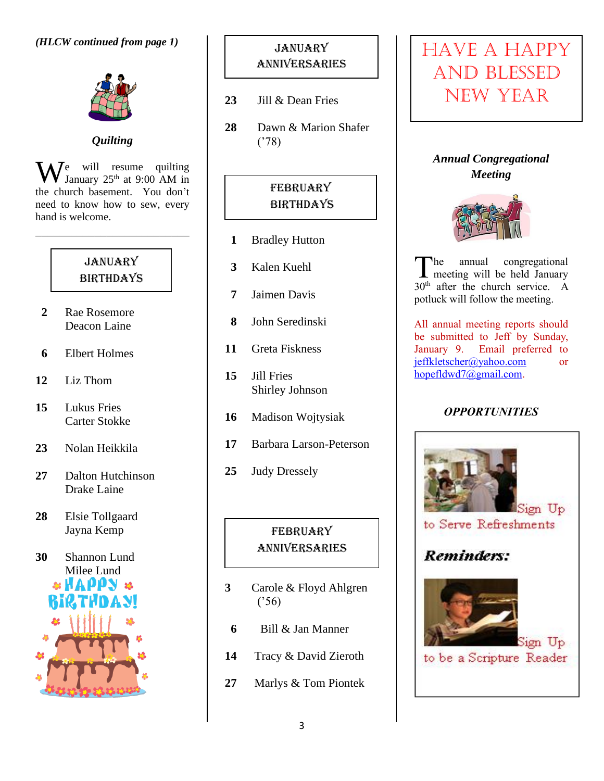

*Quilting*

 $\mathbf{W}^{\text{e}}$  will resume quilting<br>January 25<sup>th</sup> at 9:00 AM in January  $25<sup>th</sup>$  at 9:00 AM in the church basement. You don't need to know how to sew, every hand is welcome.

## **JANUARY BIRTHDAYS**

- **2** Rae Rosemore Deacon Laine
- **6** Elbert Holmes
- **12** Liz Thom
- **15** Lukus Fries Carter Stokke
- **23** Nolan Heikkila
- **27** Dalton Hutchinson Drake Laine
- **28** Elsie Tollgaard Jayna Kemp

**30** Shannon Lund Milee Lund **& HAPPN &** 

# **JANUARY** anniversaries

- **23** Jill & Dean Fries
- **28** Dawn & Marion Shafer ('78)

# **FEBRUARY BIRTHDAYS**

- **1** Bradley Hutton
- **3** Kalen Kuehl
- **7** Jaimen Davis
- **8** John Seredinski
- **11** Greta Fiskness
- **15** Jill Fries Shirley Johnson
- **16** Madison Wojtysiak
- **17** Barbara Larson-Peterson
- **25** Judy Dressely

## **FEBRUARY** anniversaries

- **3** Carole & Floyd Ahlgren ('56)
- **6** Bill & Jan Manner
- **14** Tracy & David Zieroth
- **27** Marlys & Tom Piontek

# HAVE A HAPPY AND BLESSED NEW YEAR

*Annual Congregational Meeting*



he annual congregational The annual congregational<br>meeting will be held January 30<sup>th</sup> after the church service. A potluck will follow the meeting.

All annual meeting reports should be submitted to Jeff by Sunday, January 9. Email preferred to [jeffkletscher@yahoo.com](mailto:jeffkletscher@yahoo.com) or [hopefldwd7@gmail.com.](mailto:hopefldwd7@gmail.com)

## *OPPORTUNITIES*



to Serve Refreshments

# Reminders:



to be a Scripture Reader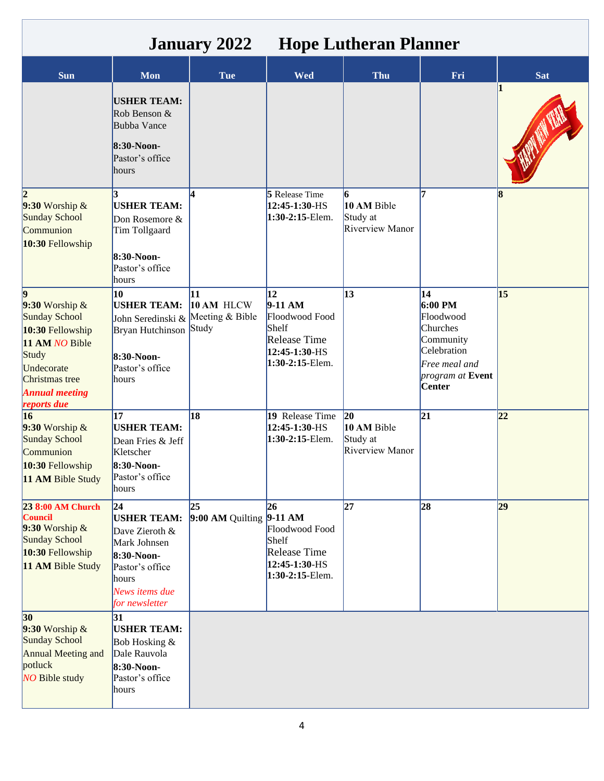| <b>January 2022</b><br><b>Hope Lutheran Planner</b>                                                                                                            |                                                                                                                                           |                                     |                                                                                                                    |                                                            |                                                                                                                                    |            |
|----------------------------------------------------------------------------------------------------------------------------------------------------------------|-------------------------------------------------------------------------------------------------------------------------------------------|-------------------------------------|--------------------------------------------------------------------------------------------------------------------|------------------------------------------------------------|------------------------------------------------------------------------------------------------------------------------------------|------------|
| Sun                                                                                                                                                            | <b>Mon</b>                                                                                                                                | <b>Tue</b>                          | <b>Wed</b>                                                                                                         | Thu                                                        | Fri                                                                                                                                | <b>Sat</b> |
|                                                                                                                                                                | <b>USHER TEAM:</b><br>Rob Benson &<br><b>Bubba Vance</b><br>8:30-Noon-<br>Pastor's office<br>hours                                        |                                     |                                                                                                                    |                                                            |                                                                                                                                    |            |
| 12.<br>$9:30$ Worship &<br><b>Sunday School</b><br>Communion<br>10:30 Fellowship                                                                               | <b>USHER TEAM:</b><br>Don Rosemore &<br>Tim Tollgaard<br>8:30-Noon-<br>Pastor's office<br>hours                                           |                                     | <b>5</b> Release Time<br>12:45-1:30-HS<br>1:30-2:15-Elem.                                                          | 6<br>10 AM Bible<br>Study at<br>Riverview Manor            | 7                                                                                                                                  | R          |
| 19<br>$9:30$ Worship &<br>Sunday School<br>10:30 Fellowship<br>11 AM NO Bible<br>Study<br>Undecorate<br>Christmas tree<br><b>Annual meeting</b><br>reports due | 10<br><b>USHER TEAM:</b><br>John Seredinski &<br>Bryan Hutchinson Study<br>8:30-Noon-<br>Pastor's office<br>hours                         | 11<br>10 AM HLCW<br>Meeting & Bible | $\overline{12}$<br>$9-11 AM$<br>Floodwood Food<br>Shelf<br><b>Release Time</b><br>12:45-1:30-HS<br>1:30-2:15-Elem. | 13                                                         | 14<br>$6:00 \text{ PM}$<br>Floodwood<br>Churches<br>Community<br>Celebration<br>Free meal and<br>program at Event<br><b>Center</b> | 15         |
| 16<br>$9:30$ Worship &<br>Sunday School<br>Communion<br>10:30 Fellowship<br>11 AM Bible Study                                                                  | 17<br><b>USHER TEAM:</b><br>Dean Fries & Jeff<br>Kletscher<br>8:30-Noon-<br>Pastor's office<br>hours                                      | 18                                  | 19 Release Time<br>12:45-1:30-HS<br>1:30-2:15-Elem.                                                                | $ 20\rangle$<br>10 AM Bible<br>Study at<br>Riverview Manor | 21                                                                                                                                 | 22         |
| 23 8:00 AM Church<br><b>Council</b><br>$9:30$ Worship &<br><b>Sunday School</b><br>10:30 Fellowship<br>11 AM Bible Study                                       | 24 <br><b>USHER TEAM:</b><br>Dave Zieroth &<br>Mark Johnsen<br>8:30-Noon-<br>Pastor's office<br>hours<br>News items due<br>for newsletter | 25<br>$9:00$ AM Quilting $9-11$ AM  | 26<br>Floodwood Food<br>Shelf<br><b>Release Time</b><br>12:45-1:30-HS<br>$1:30-2:15$ -Elem.                        | 27                                                         | 28                                                                                                                                 | 29         |
| 30<br>$9:30$ Worship &<br><b>Sunday School</b><br><b>Annual Meeting and</b><br>potluck<br><b>NO Bible study</b>                                                | 31<br><b>USHER TEAM:</b><br>Bob Hosking &<br>Dale Rauvola<br>8:30-Noon-<br>Pastor's office<br>hours                                       |                                     |                                                                                                                    |                                                            |                                                                                                                                    |            |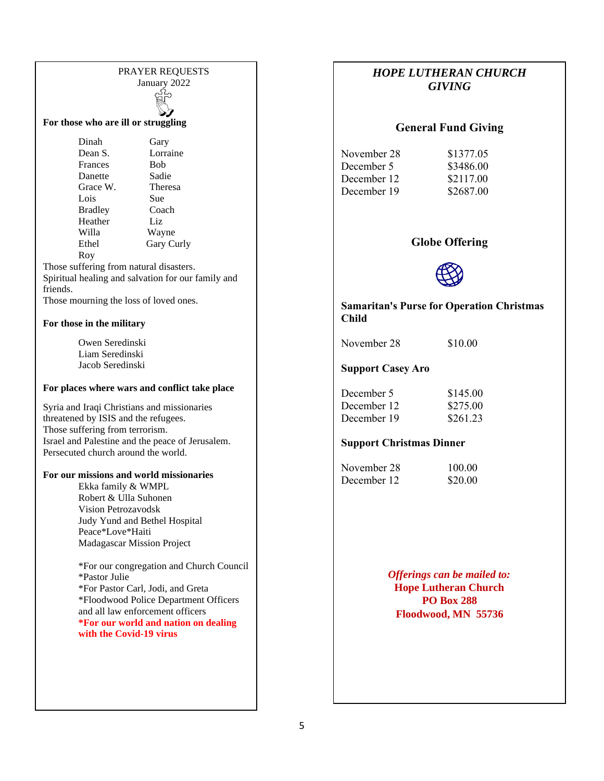# PRAYER REQUESTS Jan[uary 2](http://www.google.com/url?sa=i&rct=j&q=&esrc=s&source=images&cd=&cad=rja&uact=8&ved=0ahUKEwit6JjU4dzOAhVI-mMKHS7KBxcQjRwIBA&url=http://www.clipartkid.com/prayer-black-and-white-cliparts/&psig=AFQjCNHpHJMVDfHdwKuwJsFQd1EK7cplCA&ust=1472221245506397)022 ¦¦⇔

**For those who are ill or struggling**

Dinah Gary Dean S. Lorraine Frances Bob Danette Sadie Grace W. Theresa Lois Sue Bradley Coach Heather Liz Willa Wayne<br>Ethel Gary Cu Gary Curly Roy

Those suffering from natural disasters. Spiritual healing and salvation for our family and friends.

Those mourning the loss of loved ones.

#### **For those in the military**

Owen Seredinski Liam Seredinski Jacob Seredinski

#### **For places where wars and conflict take place**

Syria and Iraqi Christians and missionaries threatened by ISIS and the refugees. Those suffering from terrorism. Israel and Palestine and the peace of Jerusalem. Persecuted church around the world.

#### **For our missions and world missionaries**

Ekka family & WMPL Robert & Ulla Suhonen Vision Petrozavodsk Judy Yund and Bethel Hospital Peace\*Love\*Haiti Madagascar Mission Project

\*For our congregation and Church Council \*Pastor Julie \*For Pastor Carl, Jodi, and Greta \*Floodwood Police Department Officers and all law enforcement officers **\*For our world and nation on dealing with the Covid-19 virus**

## *HOPE LUTHERAN CHURCH GIVING*

#### **General Fund Giving**

November 28 \$1377.05 December 5 \$3486.00 December 12 \$2117.00 December 19 \$2687.00

#### **Globe Offering**



#### **Samaritan's Purse for Operation Christmas Child**

November 28 \$10.00

#### **Support Casey Aro**

| December 5  | \$145.00 |
|-------------|----------|
| December 12 | \$275.00 |
| December 19 | \$261.23 |

#### **Support Christmas Dinner**

| November 28 | 100.00  |
|-------------|---------|
| December 12 | \$20.00 |

*Offerings can be mailed to:* **Hope Lutheran Church PO Box 288 Floodwood, MN 55736**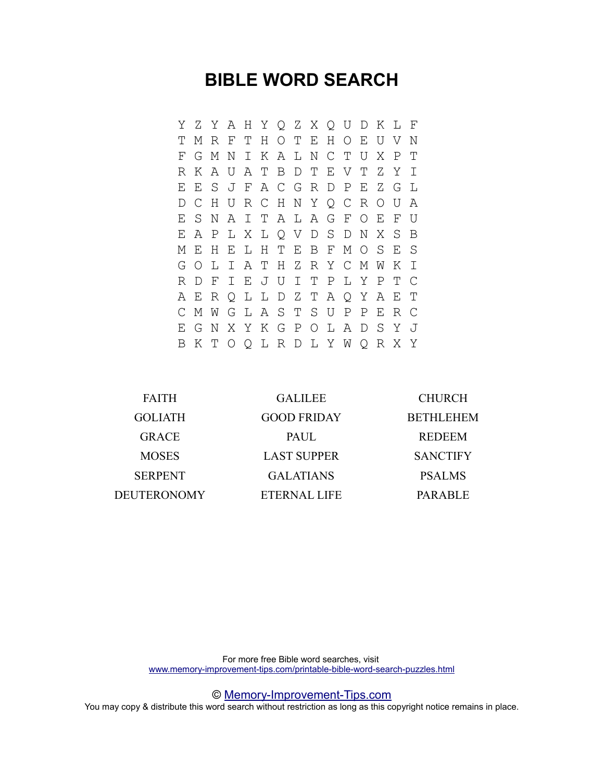# **BIBLE WORD SEARCH**

Y Z Y A H Y Q Z X Q U D K L F T M R F T H O T E H O E U V N F G M N I K A L N C T U X P T R K A U A T B D T E V T Z Y I E E S J F A C G R D P E Z G L D C H U R C H N Y Q C R O U A E S N A I T A L A G F O E F U E A P L X L Q V D S D N X S B M E H E L H T E B F M O S E S G O L I A T H Z R Y C M W K I R D F I E J U I T P L Y P T C A E R Q L L D Z T A Q Y A E T C M W G L A S T S U P P E R C E G N X Y K G P O L A D S Y J B K T O Q L R D L Y W Q R X Y

| <b>FAITH</b>   | <b>GALILEE</b>      | <b>CHURCH</b>    |
|----------------|---------------------|------------------|
| <b>GOLIATH</b> | <b>GOOD FRIDAY</b>  | <b>BETHLEHEM</b> |
| <b>GRACE</b>   | <b>PAUL</b>         | <b>REDEEM</b>    |
| <b>MOSES</b>   | <b>LAST SUPPER</b>  | <b>SANCTIFY</b>  |
| <b>SERPENT</b> | <b>GALATIANS</b>    | <b>PSALMS</b>    |
| DEUTERONOMY    | <b>ETERNAL LIFE</b> | <b>PARABLE</b>   |

For more free Bible word searches, visit [www.memory-improvement-tips.com/printable-bible-word-search-puzzles.html](http://www.memory-improvement-tips.com/printable-bible-word-search-puzzles.html)

© [Memory-Improvement-Tips.com](http://www.memory-improvement-tips.com/)

You may copy & distribute this word search without restriction as long as this copyright notice remains in place.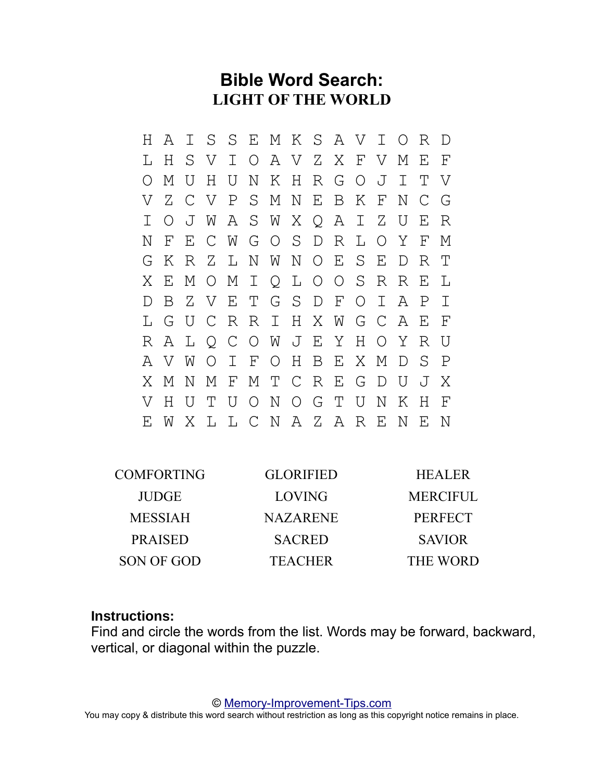# **Bible Word Search: LIGHT OF THE WORLD**

H A I S S E M K S A V I O R D L H S V I O A V Z X F V M E F O M U H U N K H R G O J I T V V Z C V P S M N E B K F N C G I O J W A S W X Q A I Z U E R N F E C W G O S D R L O Y F M G K R Z L N W N O E S E D R T X E M O M I Q L O O S R R E L D B Z V E T G S D F O I A P I L G U C R R I H X W G C A E F R A L Q C O W J E Y H O Y R U A V W O I F O H B E X M D S P X M N M F M T C R E G D U J X V H U T U O N O G T U N K H F E W X L L C N A Z A R E N E N

| <b>COMFORTING</b> | <b>GLORIFIED</b> | <b>HEALER</b>   |
|-------------------|------------------|-----------------|
| <b>JUDGE</b>      | LOVING           | <b>MERCIFUL</b> |
| <b>MESSIAH</b>    | <b>NAZARENE</b>  | <b>PERFECT</b>  |
| <b>PRAISED</b>    | <b>SACRED</b>    | <b>SAVIOR</b>   |
| SON OF GOD        | <b>TEACHER</b>   | THE WORD        |

### **Instructions:**

Find and circle the words from the list. Words may be forward, backward, vertical, or diagonal within the puzzle.

© [Memory-Improvement-Tips.com](http://www.memory-improvement-tips.com/)

You may copy & distribute this word search without restriction as long as this copyright notice remains in place.